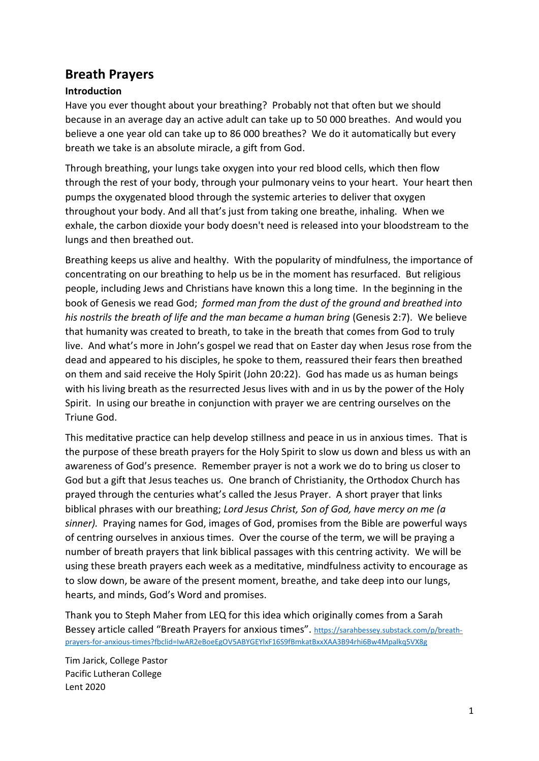# **Breath Prayers**

#### **Introduction**

Have you ever thought about your breathing? Probably not that often but we should because in an average day an active adult can take up to 50 000 breathes. And would you believe a one year old can take up to 86 000 breathes? We do it automatically but every breath we take is an absolute miracle, a gift from God.

Through breathing, your lungs take oxygen into your red blood cells, which then flow through the rest of your body, through your pulmonary veins to your heart. Your heart then pumps the oxygenated blood through the systemic arteries to deliver that oxygen throughout your body. And all that's just from taking one breathe, inhaling. When we exhale, the carbon dioxide your body doesn't need is released into your bloodstream to the lungs and then breathed out.

Breathing keeps us alive and healthy. With the popularity of mindfulness, the importance of concentrating on our breathing to help us be in the moment has resurfaced. But religious people, including Jews and Christians have known this a long time. In the beginning in the book of Genesis we read God; *formed man from the dust of the ground and breathed into his nostrils the breath of life and the man became a human bring* (Genesis 2:7). We believe that humanity was created to breath, to take in the breath that comes from God to truly live. And what's more in John's gospel we read that on Easter day when Jesus rose from the dead and appeared to his disciples, he spoke to them, reassured their fears then breathed on them and said receive the Holy Spirit (John 20:22). God has made us as human beings with his living breath as the resurrected Jesus lives with and in us by the power of the Holy Spirit. In using our breathe in conjunction with prayer we are centring ourselves on the Triune God.

This meditative practice can help develop stillness and peace in us in anxious times. That is the purpose of these breath prayers for the Holy Spirit to slow us down and bless us with an awareness of God's presence. Remember prayer is not a work we do to bring us closer to God but a gift that Jesus teaches us. One branch of Christianity, the Orthodox Church has prayed through the centuries what's called the Jesus Prayer. A short prayer that links biblical phrases with our breathing; *Lord Jesus Christ, Son of God, have mercy on me (a sinner).* Praying names for God, images of God, promises from the Bible are powerful ways of centring ourselves in anxious times. Over the course of the term, we will be praying a number of breath prayers that link biblical passages with this centring activity. We will be using these breath prayers each week as a meditative, mindfulness activity to encourage as to slow down, be aware of the present moment, breathe, and take deep into our lungs, hearts, and minds, God's Word and promises.

Thank you to Steph Maher from LEQ for this idea which originally comes from a Sarah Bessey article called "Breath Prayers for anxious times". [https://sarahbessey.substack.com/p/breath](https://sarahbessey.substack.com/p/breath-prayers-for-anxious-times?fbclid=IwAR2eBoeEgOV5ABYGEYlxF16S9fBmkatBxxXAA3B94rhi6Bw4Mpalkq5VX8g)[prayers-for-anxious-times?fbclid=IwAR2eBoeEgOV5ABYGEYlxF16S9fBmkatBxxXAA3B94rhi6Bw4Mpalkq5VX8g](https://sarahbessey.substack.com/p/breath-prayers-for-anxious-times?fbclid=IwAR2eBoeEgOV5ABYGEYlxF16S9fBmkatBxxXAA3B94rhi6Bw4Mpalkq5VX8g)

Tim Jarick, College Pastor Pacific Lutheran College Lent 2020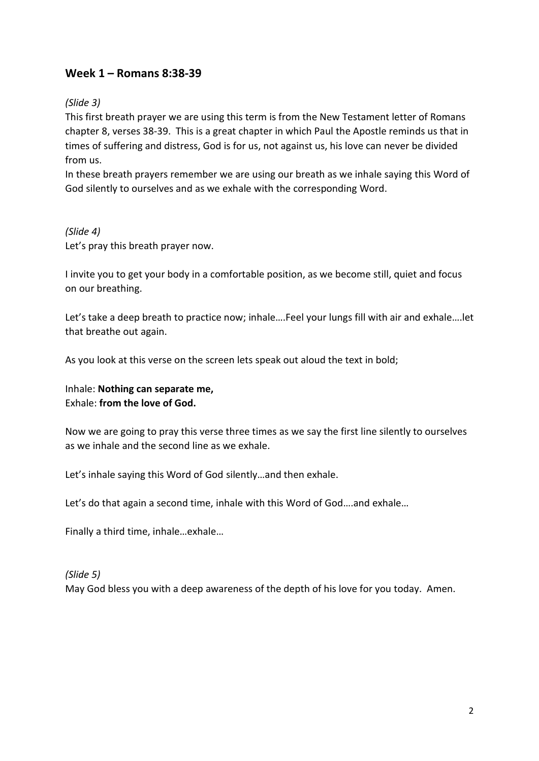## **Week 1 – Romans 8:38-39**

#### *(Slide 3)*

This first breath prayer we are using this term is from the New Testament letter of Romans chapter 8, verses 38-39. This is a great chapter in which Paul the Apostle reminds us that in times of suffering and distress, God is for us, not against us, his love can never be divided from us.

In these breath prayers remember we are using our breath as we inhale saying this Word of God silently to ourselves and as we exhale with the corresponding Word.

## *(Slide 4)* Let's pray this breath prayer now.

I invite you to get your body in a comfortable position, as we become still, quiet and focus on our breathing.

Let's take a deep breath to practice now; inhale….Feel your lungs fill with air and exhale….let that breathe out again.

As you look at this verse on the screen lets speak out aloud the text in bold;

Inhale: **Nothing can separate me,** Exhale: **from the love of God.**

Now we are going to pray this verse three times as we say the first line silently to ourselves as we inhale and the second line as we exhale.

Let's inhale saying this Word of God silently…and then exhale.

Let's do that again a second time, inhale with this Word of God….and exhale…

Finally a third time, inhale…exhale…

#### *(Slide 5)* May God bless you with a deep awareness of the depth of his love for you today. Amen.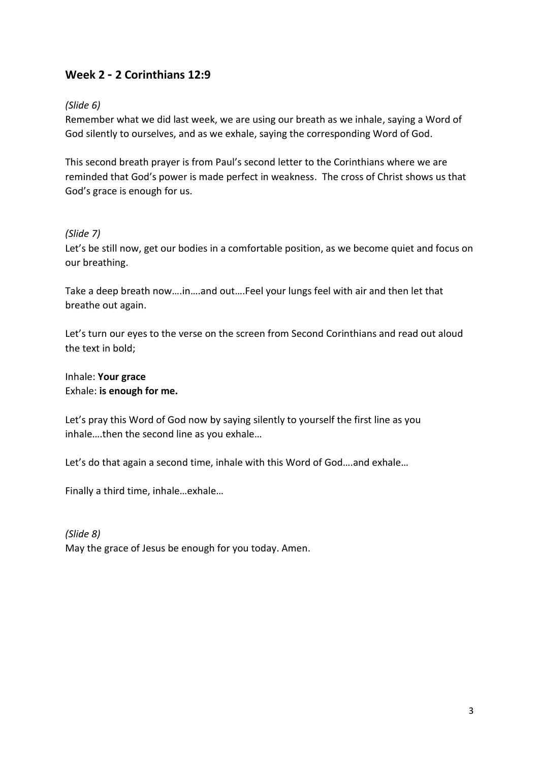# **Week 2 - 2 Corinthians 12:9**

### *(Slide 6)*

Remember what we did last week, we are using our breath as we inhale, saying a Word of God silently to ourselves, and as we exhale, saying the corresponding Word of God.

This second breath prayer is from Paul's second letter to the Corinthians where we are reminded that God's power is made perfect in weakness. The cross of Christ shows us that God's grace is enough for us.

#### *(Slide 7)*

Let's be still now, get our bodies in a comfortable position, as we become quiet and focus on our breathing.

Take a deep breath now….in….and out….Feel your lungs feel with air and then let that breathe out again.

Let's turn our eyes to the verse on the screen from Second Corinthians and read out aloud the text in bold;

Inhale: **Your grace** Exhale: **is enough for me.**

Let's pray this Word of God now by saying silently to yourself the first line as you inhale….then the second line as you exhale…

Let's do that again a second time, inhale with this Word of God….and exhale…

Finally a third time, inhale…exhale…

*(Slide 8)* May the grace of Jesus be enough for you today. Amen.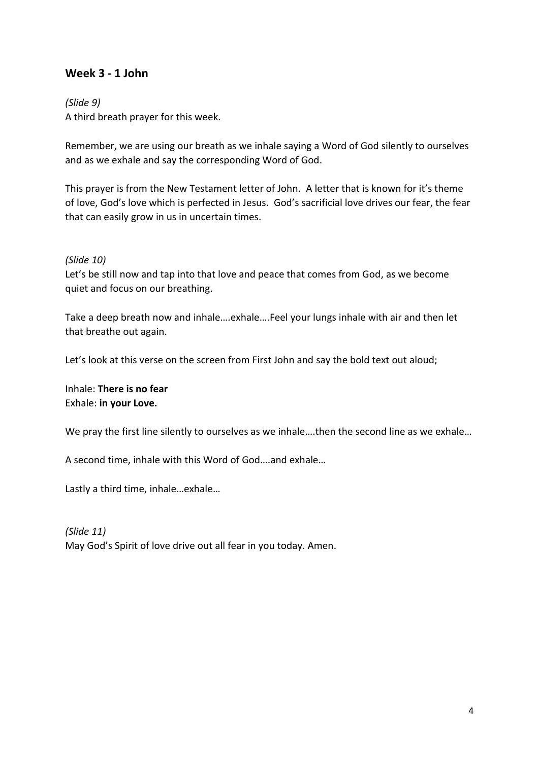## **Week 3 - 1 John**

#### *(Slide 9)*

A third breath prayer for this week.

Remember, we are using our breath as we inhale saying a Word of God silently to ourselves and as we exhale and say the corresponding Word of God.

This prayer is from the New Testament letter of John. A letter that is known for it's theme of love, God's love which is perfected in Jesus. God's sacrificial love drives our fear, the fear that can easily grow in us in uncertain times.

#### *(Slide 10)*

Let's be still now and tap into that love and peace that comes from God, as we become quiet and focus on our breathing.

Take a deep breath now and inhale….exhale….Feel your lungs inhale with air and then let that breathe out again.

Let's look at this verse on the screen from First John and say the bold text out aloud;

Inhale: **There is no fear** Exhale: **in your Love.**

We pray the first line silently to ourselves as we inhale.... then the second line as we exhale...

A second time, inhale with this Word of God….and exhale…

Lastly a third time, inhale…exhale…

*(Slide 11)* May God's Spirit of love drive out all fear in you today. Amen.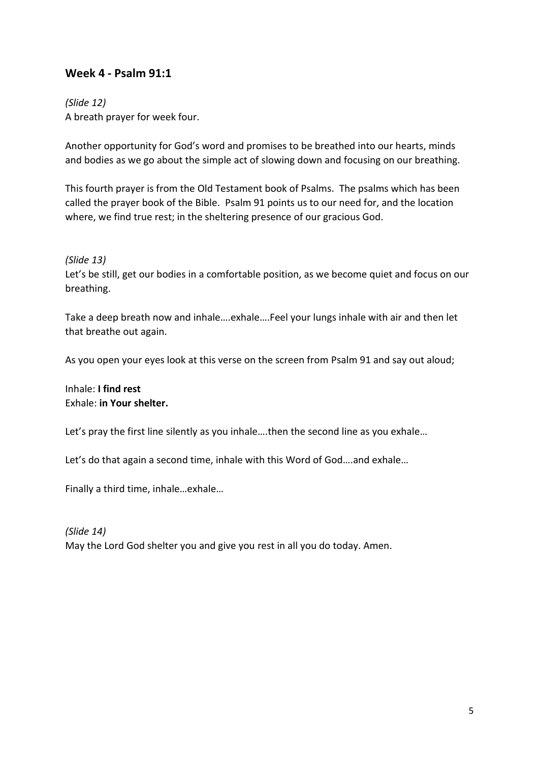## **Week 4 - Psalm 91:1**

*(Slide 12)* A breath prayer for week four.

Another opportunity for God's word and promises to be breathed into our hearts, minds and bodies as we go about the simple act of slowing down and focusing on our breathing.

This fourth prayer is from the Old Testament book of Psalms. The psalms which has been called the prayer book of the Bible. Psalm 91 points us to our need for, and the location where, we find true rest; in the sheltering presence of our gracious God.

*(Slide 13)*

Let's be still, get our bodies in a comfortable position, as we become quiet and focus on our breathing.

Take a deep breath now and inhale….exhale….Feel your lungs inhale with air and then let that breathe out again.

As you open your eyes look at this verse on the screen from Psalm 91 and say out aloud;

Inhale: **I find rest** Exhale: **in Your shelter.**

Let's pray the first line silently as you inhale....then the second line as you exhale...

Let's do that again a second time, inhale with this Word of God….and exhale…

Finally a third time, inhale…exhale…

*(Slide 14)* May the Lord God shelter you and give you rest in all you do today. Amen.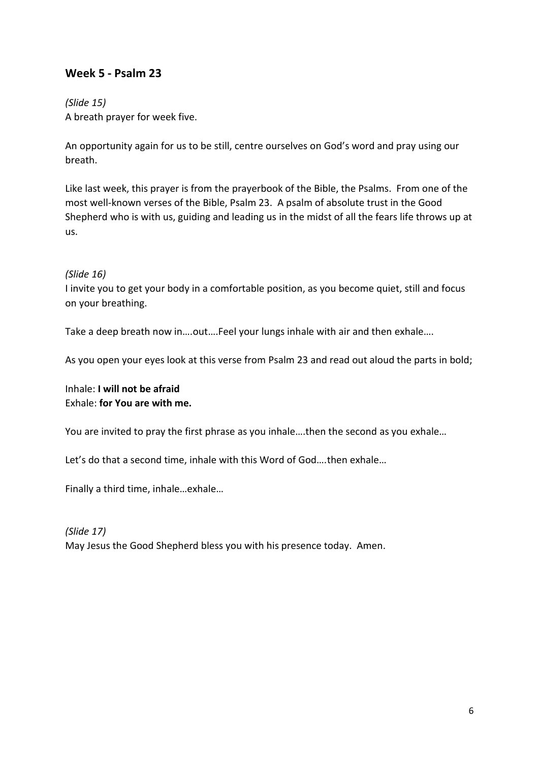## **Week 5 - Psalm 23**

### *(Slide 15)* A breath prayer for week five.

An opportunity again for us to be still, centre ourselves on God's word and pray using our breath.

Like last week, this prayer is from the prayerbook of the Bible, the Psalms. From one of the most well-known verses of the Bible, Psalm 23. A psalm of absolute trust in the Good Shepherd who is with us, guiding and leading us in the midst of all the fears life throws up at us.

#### *(Slide 16)*

I invite you to get your body in a comfortable position, as you become quiet, still and focus on your breathing.

Take a deep breath now in….out….Feel your lungs inhale with air and then exhale….

As you open your eyes look at this verse from Psalm 23 and read out aloud the parts in bold;

Inhale: **I will not be afraid** Exhale: **for You are with me.**

You are invited to pray the first phrase as you inhale….then the second as you exhale…

Let's do that a second time, inhale with this Word of God….then exhale…

Finally a third time, inhale…exhale…

*(Slide 17)* May Jesus the Good Shepherd bless you with his presence today. Amen.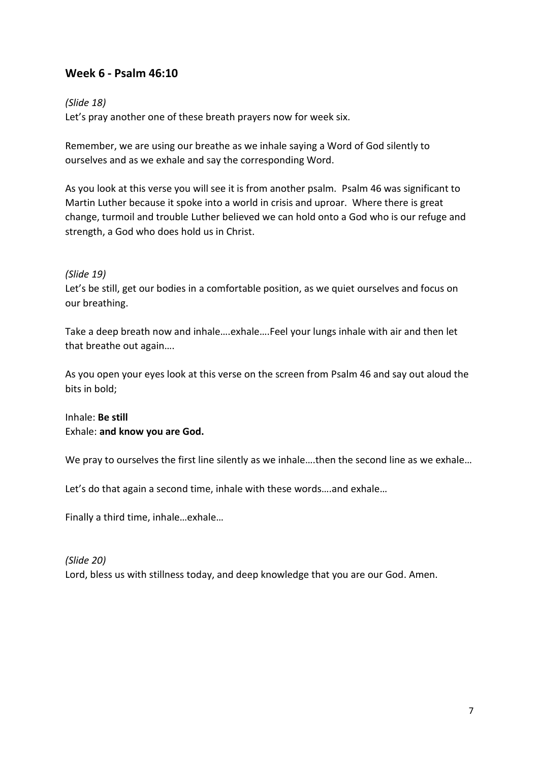## **Week 6 - Psalm 46:10**

#### *(Slide 18)*

Let's pray another one of these breath prayers now for week six.

Remember, we are using our breathe as we inhale saying a Word of God silently to ourselves and as we exhale and say the corresponding Word.

As you look at this verse you will see it is from another psalm. Psalm 46 was significant to Martin Luther because it spoke into a world in crisis and uproar. Where there is great change, turmoil and trouble Luther believed we can hold onto a God who is our refuge and strength, a God who does hold us in Christ.

#### *(Slide 19)*

Let's be still, get our bodies in a comfortable position, as we quiet ourselves and focus on our breathing.

Take a deep breath now and inhale….exhale….Feel your lungs inhale with air and then let that breathe out again….

As you open your eyes look at this verse on the screen from Psalm 46 and say out aloud the bits in bold;

Inhale: **Be still** Exhale: **and know you are God.**

We pray to ourselves the first line silently as we inhale....then the second line as we exhale...

Let's do that again a second time, inhale with these words….and exhale…

Finally a third time, inhale…exhale…

*(Slide 20)* Lord, bless us with stillness today, and deep knowledge that you are our God. Amen.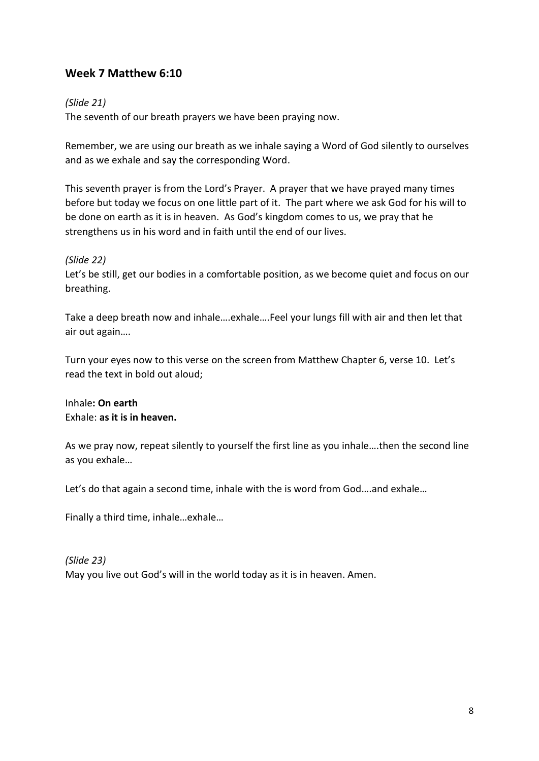## **Week 7 Matthew 6:10**

#### *(Slide 21)*

The seventh of our breath prayers we have been praying now.

Remember, we are using our breath as we inhale saying a Word of God silently to ourselves and as we exhale and say the corresponding Word.

This seventh prayer is from the Lord's Prayer. A prayer that we have prayed many times before but today we focus on one little part of it. The part where we ask God for his will to be done on earth as it is in heaven. As God's kingdom comes to us, we pray that he strengthens us in his word and in faith until the end of our lives.

#### *(Slide 22)*

Let's be still, get our bodies in a comfortable position, as we become quiet and focus on our breathing.

Take a deep breath now and inhale….exhale….Feel your lungs fill with air and then let that air out again….

Turn your eyes now to this verse on the screen from Matthew Chapter 6, verse 10. Let's read the text in bold out aloud;

Inhale**: On earth** Exhale: **as it is in heaven.**

As we pray now, repeat silently to yourself the first line as you inhale….then the second line as you exhale…

Let's do that again a second time, inhale with the is word from God….and exhale…

Finally a third time, inhale…exhale…

*(Slide 23)* May you live out God's will in the world today as it is in heaven. Amen.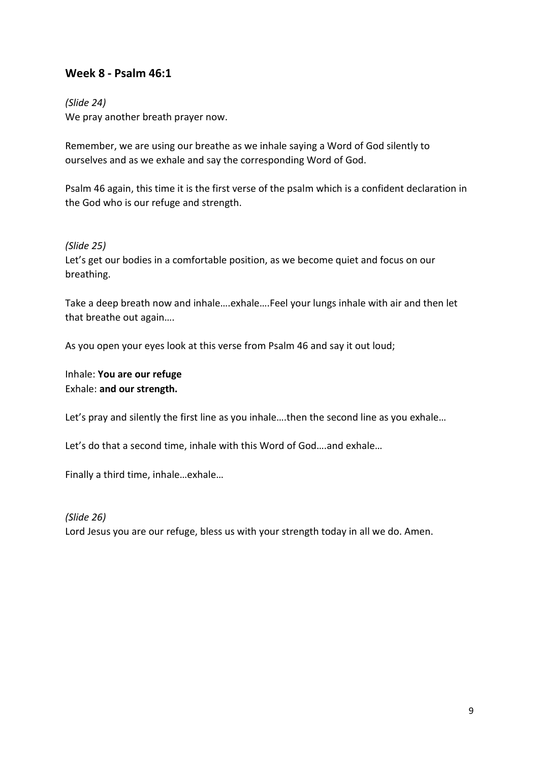### **Week 8 - Psalm 46:1**

#### *(Slide 24)*

We pray another breath prayer now.

Remember, we are using our breathe as we inhale saying a Word of God silently to ourselves and as we exhale and say the corresponding Word of God.

Psalm 46 again, this time it is the first verse of the psalm which is a confident declaration in the God who is our refuge and strength.

*(Slide 25)*

Let's get our bodies in a comfortable position, as we become quiet and focus on our breathing.

Take a deep breath now and inhale….exhale….Feel your lungs inhale with air and then let that breathe out again….

As you open your eyes look at this verse from Psalm 46 and say it out loud;

Inhale: **You are our refuge** Exhale: **and our strength.**

Let's pray and silently the first line as you inhale....then the second line as you exhale...

Let's do that a second time, inhale with this Word of God….and exhale…

Finally a third time, inhale…exhale…

*(Slide 26)* Lord Jesus you are our refuge, bless us with your strength today in all we do. Amen.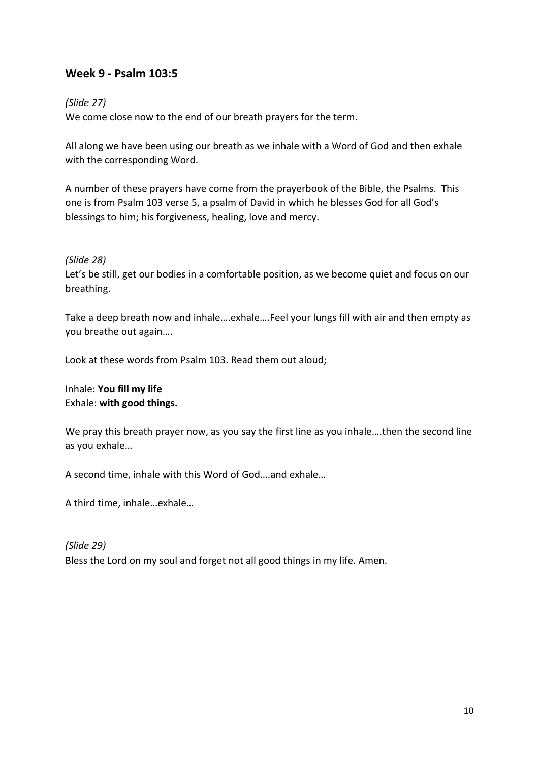## **Week 9 - Psalm 103:5**

#### *(Slide 27)*

We come close now to the end of our breath prayers for the term.

All along we have been using our breath as we inhale with a Word of God and then exhale with the corresponding Word.

A number of these prayers have come from the prayerbook of the Bible, the Psalms. This one is from Psalm 103 verse 5, a psalm of David in which he blesses God for all God's blessings to him; his forgiveness, healing, love and mercy.

#### *(Slide 28)*

Let's be still, get our bodies in a comfortable position, as we become quiet and focus on our breathing.

Take a deep breath now and inhale….exhale….Feel your lungs fill with air and then empty as you breathe out again….

Look at these words from Psalm 103. Read them out aloud;

Inhale: **You fill my life** Exhale: **with good things.**

We pray this breath prayer now, as you say the first line as you inhale....then the second line as you exhale…

A second time, inhale with this Word of God….and exhale…

A third time, inhale…exhale…

*(Slide 29)* Bless the Lord on my soul and forget not all good things in my life. Amen.